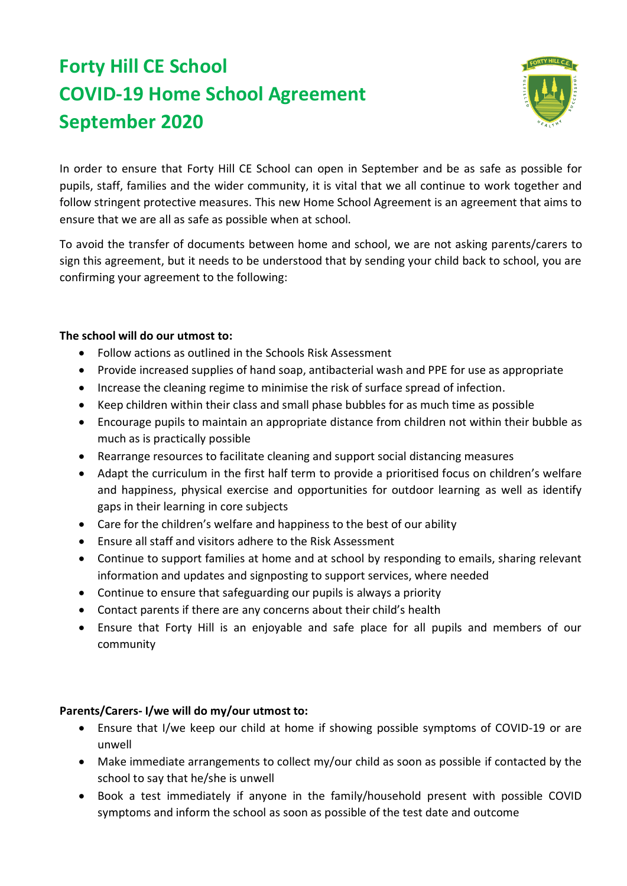## **Forty Hill CE School COVID-19 Home School Agreement September 2020**



In order to ensure that Forty Hill CE School can open in September and be as safe as possible for pupils, staff, families and the wider community, it is vital that we all continue to work together and follow stringent protective measures. This new Home School Agreement is an agreement that aims to ensure that we are all as safe as possible when at school.

To avoid the transfer of documents between home and school, we are not asking parents/carers to sign this agreement, but it needs to be understood that by sending your child back to school, you are confirming your agreement to the following:

## **The school will do our utmost to:**

- Follow actions as outlined in the Schools Risk Assessment
- Provide increased supplies of hand soap, antibacterial wash and PPE for use as appropriate
- Increase the cleaning regime to minimise the risk of surface spread of infection.
- Keep children within their class and small phase bubbles for as much time as possible
- Encourage pupils to maintain an appropriate distance from children not within their bubble as much as is practically possible
- Rearrange resources to facilitate cleaning and support social distancing measures
- Adapt the curriculum in the first half term to provide a prioritised focus on children's welfare and happiness, physical exercise and opportunities for outdoor learning as well as identify gaps in their learning in core subjects
- Care for the children's welfare and happiness to the best of our ability
- Ensure all staff and visitors adhere to the Risk Assessment
- Continue to support families at home and at school by responding to emails, sharing relevant information and updates and signposting to support services, where needed
- Continue to ensure that safeguarding our pupils is always a priority
- Contact parents if there are any concerns about their child's health
- Ensure that Forty Hill is an enjoyable and safe place for all pupils and members of our community

## **Parents/Carers- I/we will do my/our utmost to:**

- Ensure that I/we keep our child at home if showing possible symptoms of COVID-19 or are unwell
- Make immediate arrangements to collect my/our child as soon as possible if contacted by the school to say that he/she is unwell
- Book a test immediately if anyone in the family/household present with possible COVID symptoms and inform the school as soon as possible of the test date and outcome